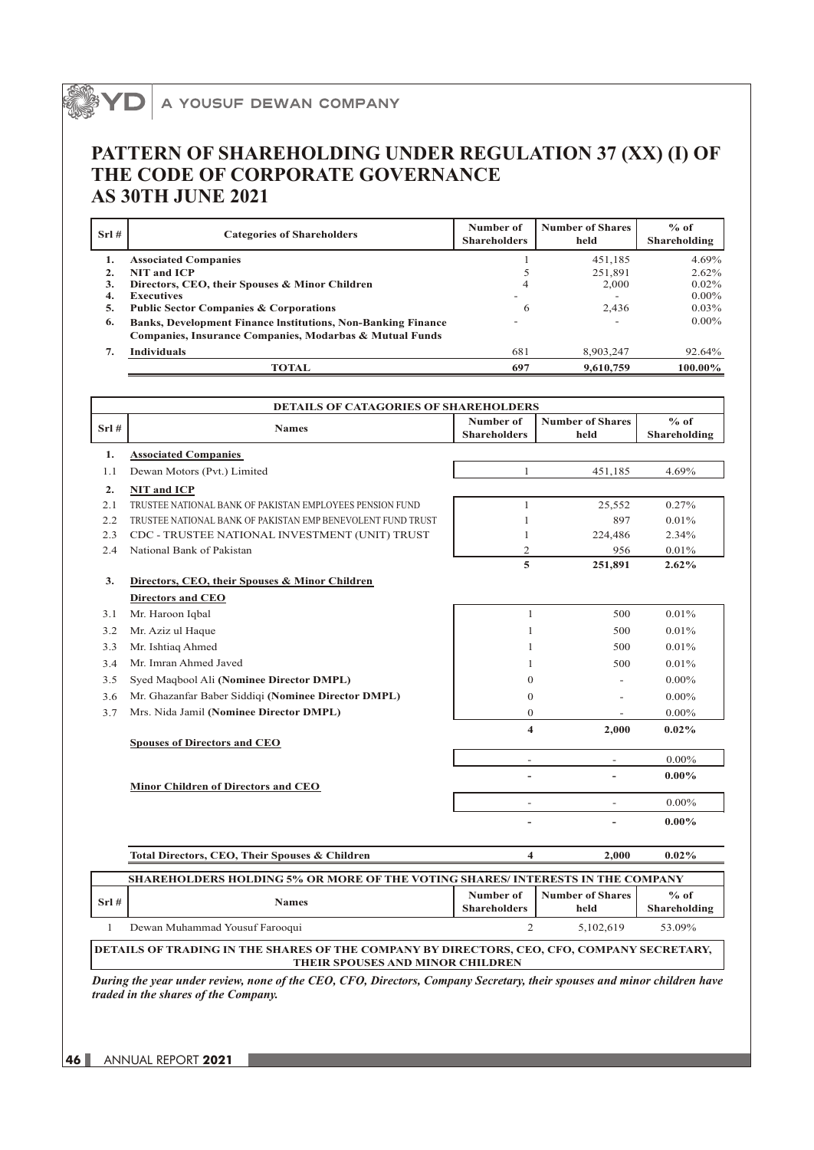## A YOUSUF DEWAN COMPANY

## **PATTERN OF SHAREHOLDING UNDER REGULATION 37 (XX) (I) OF THE CODE OF CORPORATE GOVERNANCE AS 30TH JUNE 2021**

| Srl# | <b>Categories of Shareholders</b>                                                                                              | Number of<br><b>Shareholders</b> | <b>Number of Shares</b><br>held | $%$ of<br>Shareholding |
|------|--------------------------------------------------------------------------------------------------------------------------------|----------------------------------|---------------------------------|------------------------|
|      | <b>Associated Companies</b>                                                                                                    |                                  | 451.185                         | 4.69%                  |
|      | <b>NIT and ICP</b>                                                                                                             |                                  | 251.891                         | $2.62\%$               |
| 3.   | Directors, CEO, their Spouses & Minor Children                                                                                 | 4                                | 2.000                           | $0.02\%$               |
| 4.   | <b>Executives</b>                                                                                                              |                                  |                                 | $0.00\%$               |
| 5.   | <b>Public Sector Companies &amp; Corporations</b>                                                                              | 6                                | 2,436                           | $0.03\%$               |
| 6.   | <b>Banks, Development Finance Institutions, Non-Banking Finance</b><br>Companies, Insurance Companies, Modarbas & Mutual Funds |                                  |                                 | $0.00\%$               |
| 7.   | <b>Individuals</b>                                                                                                             | 681                              | 8,903,247                       | 92.64%                 |
|      | TOTAL                                                                                                                          | 697                              | 9,610,759                       | 100.00%                |

|              | <b>DETAILS OF CATAGORIES OF SHAREHOLDERS</b>                                   |                                  |                                 |                        |  |
|--------------|--------------------------------------------------------------------------------|----------------------------------|---------------------------------|------------------------|--|
| $Srl$ #      | <b>Names</b>                                                                   | Number of<br><b>Shareholders</b> | <b>Number of Shares</b><br>held | $%$ of<br>Shareholding |  |
| 1.           | <b>Associated Companies</b>                                                    |                                  |                                 |                        |  |
| 1.1          | Dewan Motors (Pvt.) Limited                                                    | 1                                | 451,185                         | 4.69%                  |  |
| 2.           | <b>NIT and ICP</b>                                                             |                                  |                                 |                        |  |
| 2.1          | TRUSTEE NATIONAL BANK OF PAKISTAN EMPLOYEES PENSION FUND                       | 1                                | 25,552                          | 0.27%                  |  |
| 2.2          | TRUSTEE NATIONAL BANK OF PAKISTAN EMP BENEVOLENT FUND TRUST                    | 1                                | 897                             | 0.01%                  |  |
| 2.3          | CDC - TRUSTEE NATIONAL INVESTMENT (UNIT) TRUST                                 | 1                                | 224,486                         | 2.34%                  |  |
| 2.4          | National Bank of Pakistan                                                      | 2                                | 956                             | 0.01%                  |  |
|              |                                                                                | 5                                | 251,891                         | 2.62%                  |  |
| 3.           | Directors, CEO, their Spouses & Minor Children                                 |                                  |                                 |                        |  |
|              | <b>Directors and CEO</b>                                                       |                                  |                                 |                        |  |
| 3.1          | Mr. Haroon Iqbal                                                               | $\mathbf{1}$                     | 500                             | 0.01%                  |  |
| 3.2          | Mr. Aziz ul Haque                                                              | 1                                | 500                             | 0.01%                  |  |
| 3.3          | Mr. Ishtiaq Ahmed                                                              | 1                                | 500                             | 0.01%                  |  |
| 3.4          | Mr. Imran Ahmed Javed                                                          | 1                                | 500                             | 0.01%                  |  |
| 3.5          | Syed Maqbool Ali (Nominee Director DMPL)                                       | $\mathbf{0}$                     |                                 | $0.00\%$               |  |
| 3.6          | Mr. Ghazanfar Baber Siddiqi (Nominee Director DMPL)                            | $\mathbf{0}$                     |                                 | $0.00\%$               |  |
| 3.7          | Mrs. Nida Jamil (Nominee Director DMPL)                                        | $\overline{0}$                   |                                 | $0.00\%$               |  |
|              |                                                                                | $\overline{\mathbf{4}}$          | 2,000                           | $0.02\%$               |  |
|              | <b>Spouses of Directors and CEO</b>                                            |                                  |                                 | $0.00\%$               |  |
|              |                                                                                | $\overline{\phantom{a}}$         | $\overline{\phantom{a}}$        | $0.00\%$               |  |
|              | Minor Children of Directors and CEO                                            |                                  |                                 |                        |  |
|              |                                                                                | $\overline{\phantom{a}}$         | $\overline{a}$                  | $0.00\%$               |  |
|              |                                                                                |                                  |                                 | $0.00\%$               |  |
|              | Total Directors, CEO, Their Spouses & Children                                 | $\overline{\mathbf{4}}$          | 2.000                           | 0.02%                  |  |
|              | SHAREHOLDERS HOLDING 5% OR MORE OF THE VOTING SHARES/ INTERESTS IN THE COMPANY |                                  |                                 |                        |  |
|              |                                                                                | Number of                        | <b>Number of Shares</b>         | $%$ of                 |  |
| $Srl$ #      | <b>Names</b>                                                                   | <b>Shareholders</b>              | held                            | Shareholding           |  |
| $\mathbf{1}$ | Dewan Muhammad Yousuf Farooqui                                                 | $\overline{2}$                   | 5.102.619                       | 53.09%                 |  |

**DETAILS OF TRADING IN THE SHARES OF THE COMPANY BY DIRECTORS, CEO, CFO, COMPANY SECRETARY, THEIR SPOUSES AND MINOR CHILDREN**

*During the year under review, none of the CEO, CFO, Directors, Company Secretary, their spouses and minor children have traded in the shares of the Company.*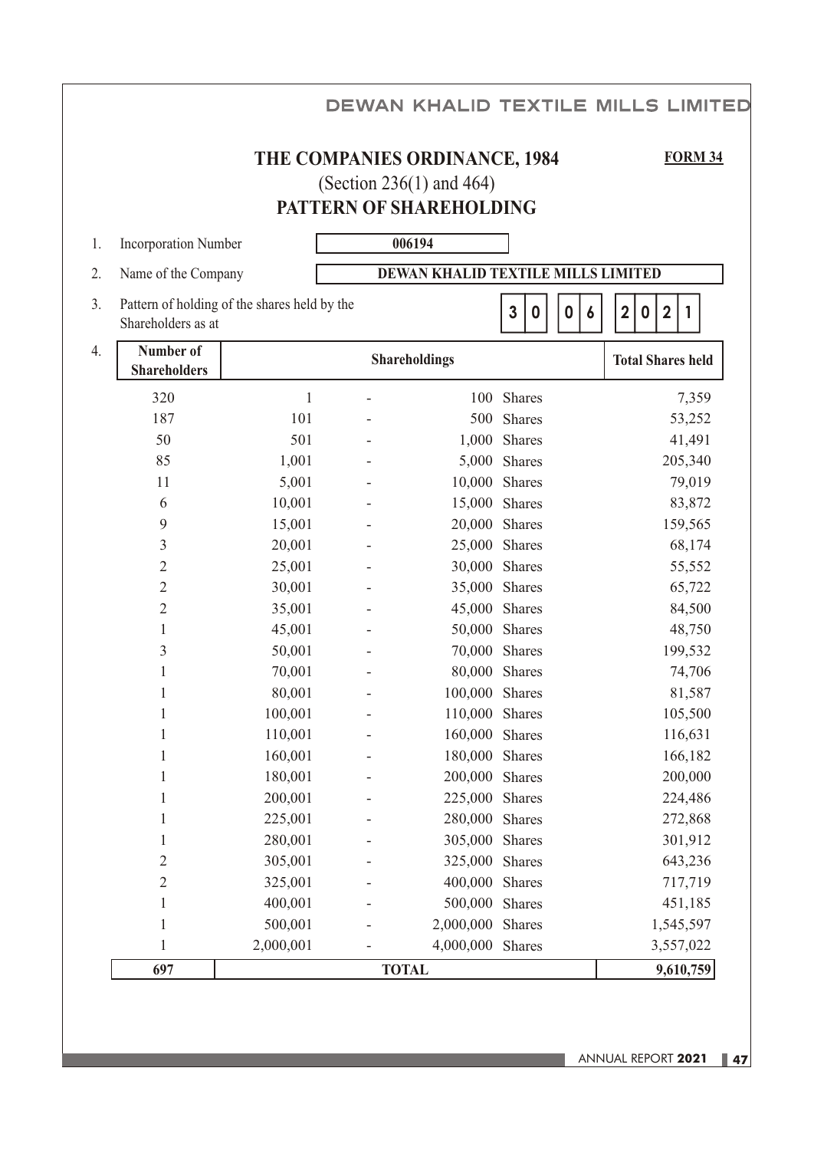|                                        |                                              |                                                                                      |                                  | <b>DEWAN KHALID TEXTILE MILLS LIMITED</b> |
|----------------------------------------|----------------------------------------------|--------------------------------------------------------------------------------------|----------------------------------|-------------------------------------------|
|                                        |                                              | THE COMPANIES ORDINANCE, 1984<br>(Section 236(1) and 464)<br>PATTERN OF SHAREHOLDING |                                  | <b>FORM 34</b>                            |
| <b>Incorporation Number</b><br>1.      |                                              | 006194                                                                               |                                  |                                           |
| Name of the Company<br>2.              |                                              | DEWAN KHALID TEXTILE MILLS LIMITED                                                   |                                  |                                           |
| 3.<br>Shareholders as at               | Pattern of holding of the shares held by the |                                                                                      | $\mathbf{3}$<br>0<br>$\mathbf 0$ | $\overline{2}$<br>$\overline{2}$<br>0     |
| Number of<br>4.<br><b>Shareholders</b> |                                              | <b>Shareholdings</b>                                                                 |                                  | <b>Total Shares held</b>                  |
| 320                                    | 1                                            |                                                                                      | 100 Shares                       | 7,359                                     |
| 187                                    | 101                                          |                                                                                      | 500 Shares                       | 53,252                                    |
| 50                                     | 501                                          |                                                                                      | 1,000 Shares                     | 41,491                                    |
| 85                                     | 1,001                                        |                                                                                      | 5,000 Shares                     | 205,340                                   |
| 11                                     | 5,001                                        | 10,000 Shares                                                                        |                                  | 79,019                                    |
| 6                                      | 10,001                                       | 15,000 Shares                                                                        |                                  | 83,872                                    |
| 9                                      | 15,001                                       | 20,000 Shares                                                                        |                                  | 159,565                                   |
| $\mathfrak{Z}$                         | 20,001                                       | 25,000 Shares                                                                        |                                  | 68,174                                    |
| $\sqrt{2}$                             | 25,001                                       | 30,000 Shares                                                                        |                                  | 55,552                                    |
| $\overline{2}$                         | 30,001                                       | 35,000 Shares                                                                        |                                  | 65,722                                    |
| $\mathbf 2$                            | 35,001                                       | 45,000 Shares                                                                        |                                  | 84,500                                    |
| $\mathbf{1}$                           | 45,001                                       | 50,000 Shares                                                                        |                                  | 48,750                                    |
| $\mathfrak{Z}$                         | 50,001                                       | 70,000 Shares                                                                        |                                  | 199,532                                   |
| $\mathbf{1}$                           | 70,001                                       | 80,000 Shares                                                                        |                                  | 74,706                                    |
|                                        | 80,001                                       | 100,000 Shares                                                                       |                                  | 81,587                                    |
| $\mathbf{1}$                           | 100,001                                      | 110,000 Shares                                                                       |                                  | 105,500                                   |
| 1                                      | 110,001                                      | 160,000 Shares                                                                       |                                  | 116,631                                   |
| $\mathbf{1}$                           | 160,001                                      | 180,000 Shares                                                                       |                                  | 166,182                                   |
| $\mathbf{1}$                           | 180,001                                      | 200,000 Shares                                                                       |                                  | 200,000                                   |
| 1                                      | 200,001                                      | 225,000 Shares                                                                       |                                  | 224,486                                   |
| $\mathbf{1}$                           | 225,001                                      | 280,000 Shares                                                                       |                                  | 272,868                                   |
| $\mathbf{1}$                           | 280,001                                      | 305,000 Shares                                                                       |                                  | 301,912                                   |
| $\sqrt{2}$                             | 305,001                                      | 325,000 Shares                                                                       |                                  | 643,236                                   |
| $\overline{c}$                         | 325,001                                      | 400,000 Shares                                                                       |                                  | 717,719                                   |
| $\mathbf{1}$                           | 400,001                                      | 500,000                                                                              | Shares                           | 451,185                                   |
| $\mathbf{1}$                           | 500,001                                      | 2,000,000 Shares                                                                     |                                  | 1,545,597                                 |
| $\mathbf{1}$                           | 2,000,001                                    | 4,000,000 Shares                                                                     |                                  | 3,557,022                                 |
| 697                                    |                                              | <b>TOTAL</b>                                                                         |                                  | 9,610,759                                 |